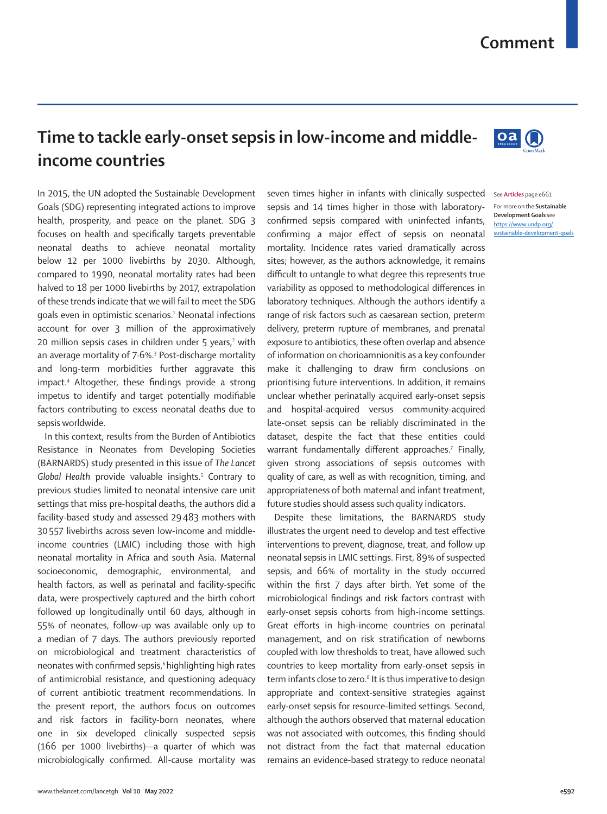## **Comment**

**Da** 

## **Time to tackle early-onset sepsis in low-income and middleincome countries**

In 2015, the UN adopted the [Sustainable Development](https://www.undp.org/sustainable-development-goals)  [Goals \(SDG\)](https://www.undp.org/sustainable-development-goals) representing integrated actions to improve health, prosperity, and peace on the planet. SDG 3 focuses on health and specifically targets preventable neonatal deaths to achieve neonatal mortality below 12 per 1000 livebirths by 2030. Although, compared to 1990, neonatal mortality rates had been halved to 18 per 1000 livebirths by 2017, extrapolation of these trends indicate that we will fail to meet the SDG goals even in optimistic scenarios.1 Neonatal infections account for over 3 million of the approximatively 20 million sepsis cases in children under 5 years,<sup>2</sup> with an average mortality of 7·6%.3 Post-discharge mortality and long-term morbidities further aggravate this impact.4 Altogether, these findings provide a strong impetus to identify and target potentially modifiable factors contributing to excess neonatal deaths due to sepsis worldwide.

In this context, results from the Burden of Antibiotics Resistance in Neonates from Developing Societies (BARNARDS) study presented in this issue of *The Lancet*  Global Health provide valuable insights.<sup>5</sup> Contrary to previous studies limited to neonatal intensive care unit settings that miss pre-hospital deaths, the authors did a facility-based study and assessed 29483 mothers with 30557 livebirths across seven low-income and middleincome countries (LMIC) including those with high neonatal mortality in Africa and south Asia. Maternal socioeconomic, demographic, environmental, and health factors, as well as perinatal and facility-specific data, were prospectively captured and the birth cohort followed up longitudinally until 60 days, although in 55% of neonates, follow-up was available only up to a median of 7 days. The authors previously reported on microbiological and treatment characteristics of neonates with confirmed sepsis,<sup>6</sup> highlighting high rates of antimicrobial resistance, and questioning adequacy of current antibiotic treatment recommendations. In the present report, the authors focus on outcomes and risk factors in facility-born neonates, where one in six developed clinically suspected sepsis (166 per 1000 livebirths)—a quarter of which was microbiologically confirmed. All-cause mortality was

seven times higher in infants with clinically suspected See **Articles** page e661 sepsis and 14 times higher in those with laboratoryconfirmed sepsis compared with uninfected infants, confirming a major effect of sepsis on neonatal mortality. Incidence rates varied dramatically across sites; however, as the authors acknowledge, it remains difficult to untangle to what degree this represents true variability as opposed to methodological differences in laboratory techniques. Although the authors identify a range of risk factors such as caesarean section, preterm delivery, preterm rupture of membranes, and prenatal exposure to antibiotics, these often overlap and absence of information on chorioamnionitis as a key confounder make it challenging to draw firm conclusions on prioritising future interventions. In addition, it remains unclear whether perinatally acquired early-onset sepsis and hospital-acquired versus community-acquired late-onset sepsis can be reliably discriminated in the dataset, despite the fact that these entities could warrant fundamentally different approaches.<sup>7</sup> Finally, given strong associations of sepsis outcomes with quality of care, as well as with recognition, timing, and appropriateness of both maternal and infant treatment, future studies should assess such quality indicators.

Despite these limitations, the BARNARDS study illustrates the urgent need to develop and test effective interventions to prevent, diagnose, treat, and follow up neonatal sepsis in LMIC settings. First, 89% of suspected sepsis, and 66% of mortality in the study occurred within the first 7 days after birth. Yet some of the microbiological findings and risk factors contrast with early-onset sepsis cohorts from high-income settings. Great efforts in high-income countries on perinatal management, and on risk stratification of newborns coupled with low thresholds to treat, have allowed such countries to keep mortality from early-onset sepsis in term infants close to zero.<sup>8</sup> It is thus imperative to design appropriate and context-sensitive strategies against early-onset sepsis for resource-limited settings. Second, although the authors observed that maternal education was not associated with outcomes, this finding should not distract from the fact that maternal education remains an evidence-based strategy to reduce neonatal



[https://www.undp.org/](https://www.undp.org/sustainable-development-goals) [sustainable-development-goals](https://www.undp.org/sustainable-development-goals)